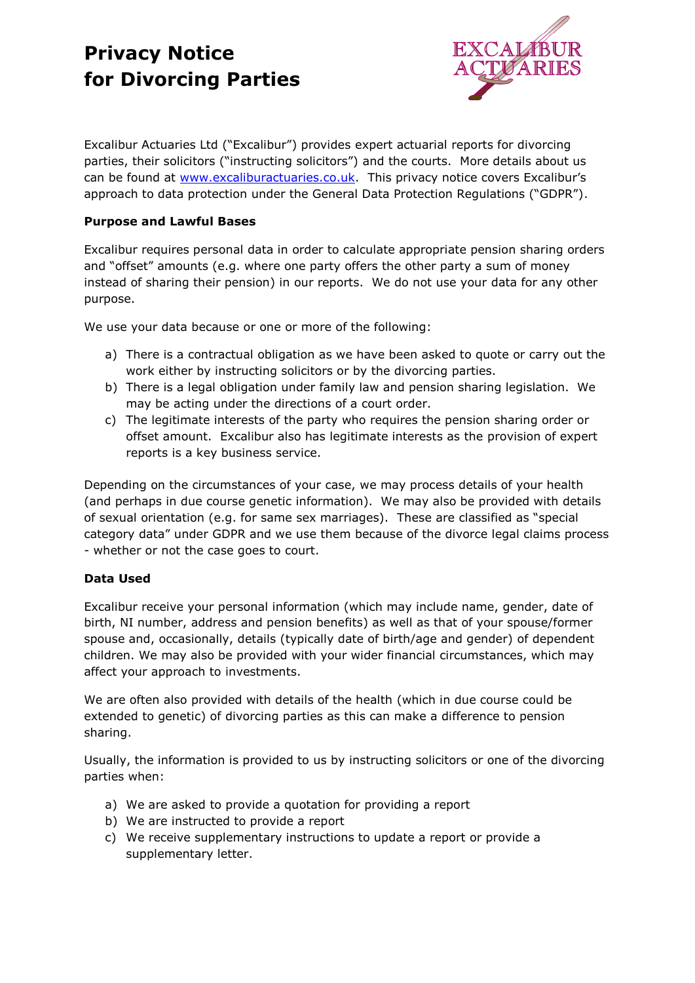# **Privacy Notice for Divorcing Parties**



Excalibur Actuaries Ltd ("Excalibur") provides expert actuarial reports for divorcing parties, their solicitors ("instructing solicitors") and the courts. More details about us can be found at [www.excaliburactuaries.co.uk.](http://www.excaliburactuaries.co.uk/) This privacy notice covers Excalibur's approach to data protection under the General Data Protection Regulations ("GDPR").

### **Purpose and Lawful Bases**

Excalibur requires personal data in order to calculate appropriate pension sharing orders and "offset" amounts (e.g. where one party offers the other party a sum of money instead of sharing their pension) in our reports. We do not use your data for any other purpose.

We use your data because or one or more of the following:

- a) There is a contractual obligation as we have been asked to quote or carry out the work either by instructing solicitors or by the divorcing parties.
- b) There is a legal obligation under family law and pension sharing legislation. We may be acting under the directions of a court order.
- c) The legitimate interests of the party who requires the pension sharing order or offset amount. Excalibur also has legitimate interests as the provision of expert reports is a key business service.

Depending on the circumstances of your case, we may process details of your health (and perhaps in due course genetic information). We may also be provided with details of sexual orientation (e.g. for same sex marriages). These are classified as "special category data" under GDPR and we use them because of the divorce legal claims process - whether or not the case goes to court.

### **Data Used**

Excalibur receive your personal information (which may include name, gender, date of birth, NI number, address and pension benefits) as well as that of your spouse/former spouse and, occasionally, details (typically date of birth/age and gender) of dependent children. We may also be provided with your wider financial circumstances, which may affect your approach to investments.

We are often also provided with details of the health (which in due course could be extended to genetic) of divorcing parties as this can make a difference to pension sharing.

Usually, the information is provided to us by instructing solicitors or one of the divorcing parties when:

- a) We are asked to provide a quotation for providing a report
- b) We are instructed to provide a report
- c) We receive supplementary instructions to update a report or provide a supplementary letter.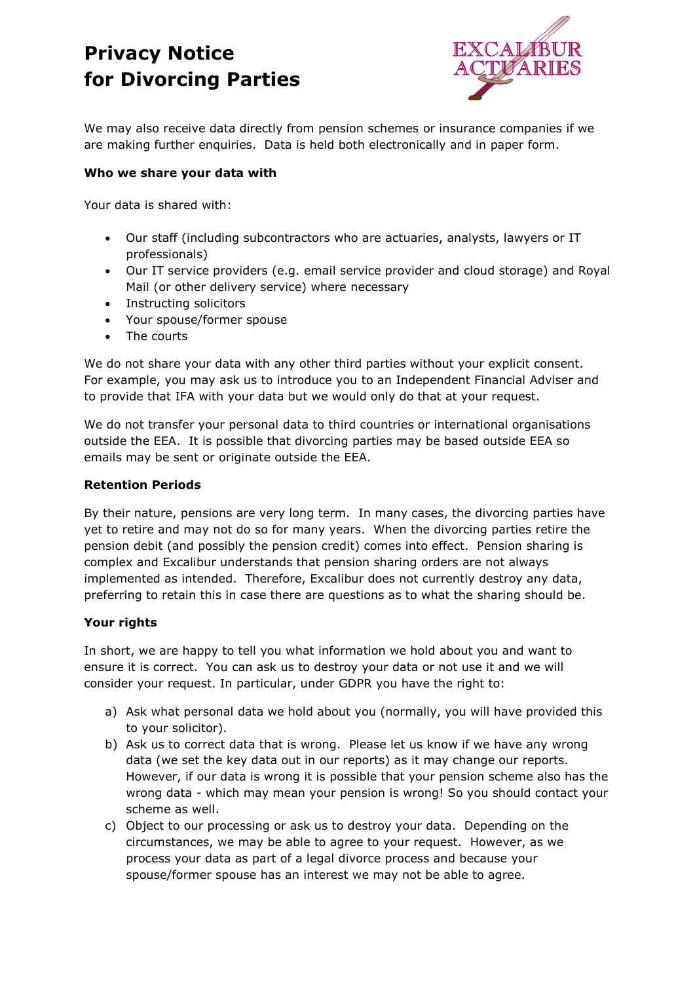# **Privacy Notice for Divorcing Parties**



We may also receive data directly from pension schemes or insurance companies if we are making further enquiries. Data is held both electronically and in paper form.

#### **Who we share your data with**

Your data is shared with:

- Our staff (including subcontractors who are actuaries, analysts, lawyers or IT professionals)
- Our IT service providers (e.g. email service provider and cloud storage) and Royal Mail (or other delivery service) where necessary
- Instructing solicitors
- Your spouse/former spouse
- The courts

We do not share your data with any other third parties without your explicit consent. For example, you may ask us to introduce you to an Independent Financial Adviser and to provide that IFA with your data but we would only do that at your request.

We do not transfer your personal data to third countries or international organisations outside the EEA. It is possible that divorcing parties may be based outside EEA so emails may be sent or originate outside the EEA.

#### **Retention Periods**

By their nature, pensions are very long term. In many cases, the divorcing parties have yet to retire and may not do so for many years. When the divorcing parties retire the pension debit (and possibly the pension credit) comes into effect. Pension sharing is complex and Excalibur understands that pension sharing orders are not always implemented as intended. Therefore, Excalibur does not currently destroy any data, preferring to retain this in case there are questions as to what the sharing should be.

### **Your rights**

In short, we are happy to tell you what information we hold about you and want to ensure it is correct. You can ask us to destroy your data or not use it and we will consider your request. In particular, under GDPR you have the right to:

- a) Ask what personal data we hold about you (normally, you will have provided this to your solicitor).
- b) Ask us to correct data that is wrong. Please let us know if we have any wrong data (we set the key data out in our reports) as it may change our reports. However, if our data is wrong it is possible that your pension scheme also has the wrong data - which may mean your pension is wrong! So you should contact your scheme as well.
- c) Object to our processing or ask us to destroy your data. Depending on the circumstances, we may be able to agree to your request. However, as we process your data as part of a legal divorce process and because your spouse/former spouse has an interest we may not be able to agree.